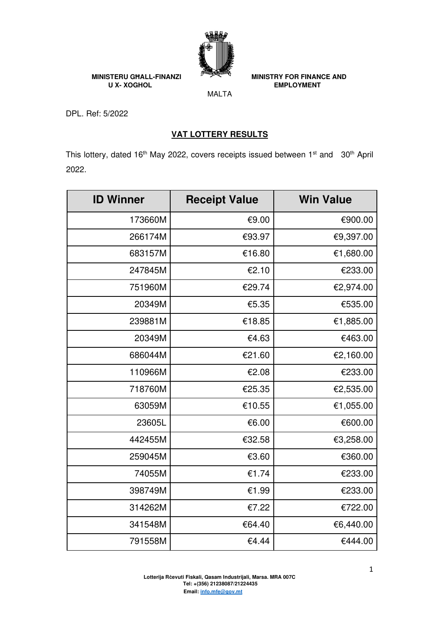

**MINISTERU GHALL-FINANZI** MINISTRY FOR FINANCE AND UX- XOGHOL **EMPLOYMENT** 

MALTA

DPL. Ref: 5/2022

## **VAT LOTTERY RESULTS**

This lottery, dated 16<sup>th</sup> May 2022, covers receipts issued between 1<sup>st</sup> and 30<sup>th</sup> April 2022.

| <b>ID Winner</b> | <b>Receipt Value</b> | <b>Win Value</b> |
|------------------|----------------------|------------------|
| 173660M          | €9.00                | €900.00          |
| 266174M          | €93.97               | €9,397.00        |
| 683157M          | €16.80               | €1,680.00        |
| 247845M          | €2.10                | €233.00          |
| 751960M          | €29.74               | €2,974.00        |
| 20349M           | €5.35                | €535.00          |
| 239881M          | €18.85               | €1,885.00        |
| 20349M           | €4.63                | €463.00          |
| 686044M          | €21.60               | €2,160.00        |
| 110966M          | €2.08                | €233.00          |
| 718760M          | €25.35               | €2,535.00        |
| 63059M           | €10.55               | €1,055.00        |
| 23605L           | €6.00                | €600.00          |
| 442455M          | €32.58               | €3,258.00        |
| 259045M          | €3.60                | €360.00          |
| 74055M           | €1.74                | €233.00          |
| 398749M          | €1.99                | €233.00          |
| 314262M          | €7.22                | €722.00          |
| 341548M          | €64.40               | €6,440.00        |
| 791558M          | €4.44                | €444.00          |